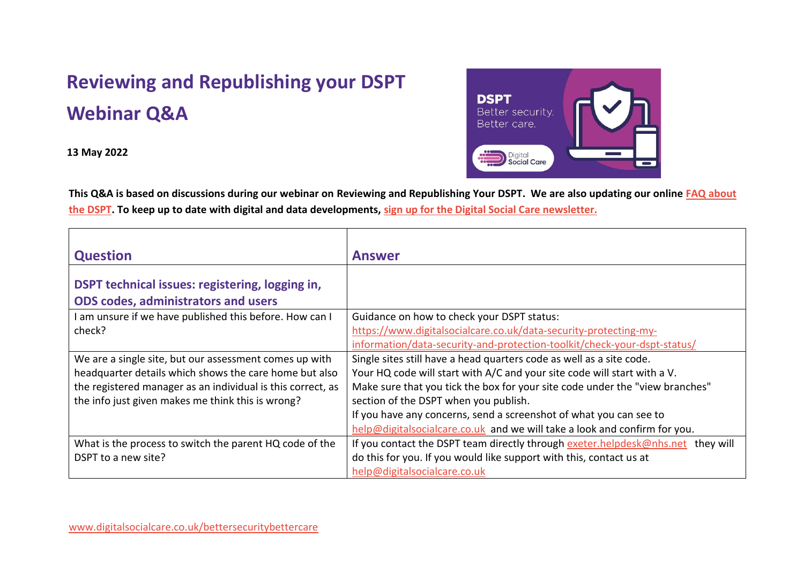## **Reviewing and Republishing your DSPT Webinar Q&A**

**13 May 2022**



**This Q&A is based on discussions during our webinar on Reviewing and Republishing Your DSPT. We are also updating our online [FAQ about](https://www.digitalsocialcare.co.uk/faqs/?faq-subject=data-security-and-protection-toolkit)  [the DSPT.](https://www.digitalsocialcare.co.uk/faqs/?faq-subject=data-security-and-protection-toolkit) To keep up to date with digital and data developments, [sign up for the Digital Social Care newsletter.](https://www.digitalsocialcare.co.uk/newsletter-signup/)**

| <b>Question</b>                                                                               | <b>Answer</b>                                                                   |
|-----------------------------------------------------------------------------------------------|---------------------------------------------------------------------------------|
| DSPT technical issues: registering, logging in,<br><b>ODS codes, administrators and users</b> |                                                                                 |
| am unsure if we have published this before. How can I                                         | Guidance on how to check your DSPT status:                                      |
| check?                                                                                        | https://www.digitalsocialcare.co.uk/data-security-protecting-my-                |
|                                                                                               | information/data-security-and-protection-toolkit/check-your-dspt-status/        |
| We are a single site, but our assessment comes up with                                        | Single sites still have a head quarters code as well as a site code.            |
| headquarter details which shows the care home but also                                        | Your HQ code will start with A/C and your site code will start with a V.        |
| the registered manager as an individual is this correct, as                                   | Make sure that you tick the box for your site code under the "view branches"    |
| the info just given makes me think this is wrong?                                             | section of the DSPT when you publish.                                           |
|                                                                                               | If you have any concerns, send a screenshot of what you can see to              |
|                                                                                               | help@digitalsocialcare.co.uk and we will take a look and confirm for you.       |
| What is the process to switch the parent HQ code of the                                       | If you contact the DSPT team directly through exeter.helpdesk@nhs.net they will |
| DSPT to a new site?                                                                           | do this for you. If you would like support with this, contact us at             |
|                                                                                               | help@digitalsocialcare.co.uk                                                    |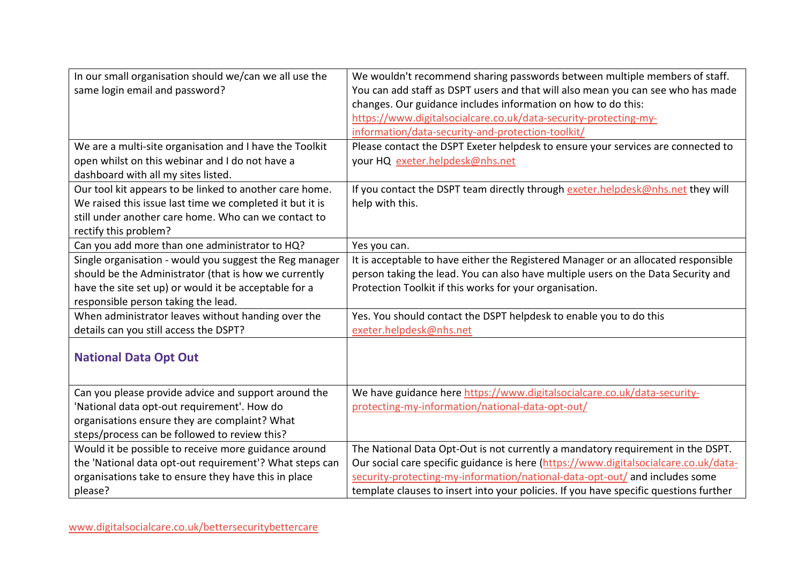| In our small organisation should we/can we all use the   | We wouldn't recommend sharing passwords between multiple members of staff.            |
|----------------------------------------------------------|---------------------------------------------------------------------------------------|
| same login email and password?                           | You can add staff as DSPT users and that will also mean you can see who has made      |
|                                                          | changes. Our guidance includes information on how to do this:                         |
|                                                          | https://www.digitalsocialcare.co.uk/data-security-protecting-my-                      |
|                                                          | information/data-security-and-protection-toolkit/                                     |
| We are a multi-site organisation and I have the Toolkit  | Please contact the DSPT Exeter helpdesk to ensure your services are connected to      |
| open whilst on this webinar and I do not have a          | your HQ exeter.helpdesk@nhs.net                                                       |
| dashboard with all my sites listed.                      |                                                                                       |
| Our tool kit appears to be linked to another care home.  | If you contact the DSPT team directly through exeter.helpdesk@nhs.net they will       |
| We raised this issue last time we completed it but it is | help with this.                                                                       |
| still under another care home. Who can we contact to     |                                                                                       |
| rectify this problem?                                    |                                                                                       |
| Can you add more than one administrator to HQ?           | Yes you can.                                                                          |
| Single organisation - would you suggest the Reg manager  | It is acceptable to have either the Registered Manager or an allocated responsible    |
| should be the Administrator (that is how we currently    | person taking the lead. You can also have multiple users on the Data Security and     |
| have the site set up) or would it be acceptable for a    | Protection Toolkit if this works for your organisation.                               |
| responsible person taking the lead.                      |                                                                                       |
| When administrator leaves without handing over the       | Yes. You should contact the DSPT helpdesk to enable you to do this                    |
| details can you still access the DSPT?                   | exeter.helpdesk@nhs.net                                                               |
|                                                          |                                                                                       |
| <b>National Data Opt Out</b>                             |                                                                                       |
|                                                          |                                                                                       |
| Can you please provide advice and support around the     | We have guidance here https://www.digitalsocialcare.co.uk/data-security-              |
| National data opt-out requirement'. How do               | protecting-my-information/national-data-opt-out/                                      |
| organisations ensure they are complaint? What            |                                                                                       |
| steps/process can be followed to review this?            |                                                                                       |
| Would it be possible to receive more guidance around     | The National Data Opt-Out is not currently a mandatory requirement in the DSPT.       |
| the 'National data opt-out requirement'? What steps can  | Our social care specific guidance is here (https://www.digitalsocialcare.co.uk/data-  |
| organisations take to ensure they have this in place     | security-protecting-my-information/national-data-opt-out/ and includes some           |
| please?                                                  | template clauses to insert into your policies. If you have specific questions further |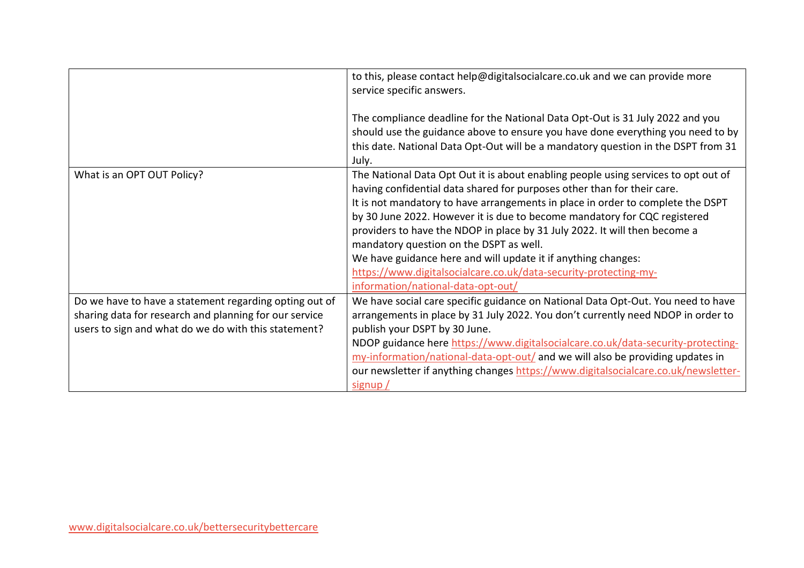|                                                        | to this, please contact help@digitalsocialcare.co.uk and we can provide more<br>service specific answers.                                                                                                                                                                                                                                                                                                                                                                                                               |
|--------------------------------------------------------|-------------------------------------------------------------------------------------------------------------------------------------------------------------------------------------------------------------------------------------------------------------------------------------------------------------------------------------------------------------------------------------------------------------------------------------------------------------------------------------------------------------------------|
|                                                        | The compliance deadline for the National Data Opt-Out is 31 July 2022 and you<br>should use the guidance above to ensure you have done everything you need to by<br>this date. National Data Opt-Out will be a mandatory question in the DSPT from 31<br>July.                                                                                                                                                                                                                                                          |
| What is an OPT OUT Policy?                             | The National Data Opt Out it is about enabling people using services to opt out of<br>having confidential data shared for purposes other than for their care.<br>It is not mandatory to have arrangements in place in order to complete the DSPT<br>by 30 June 2022. However it is due to become mandatory for CQC registered<br>providers to have the NDOP in place by 31 July 2022. It will then become a<br>mandatory question on the DSPT as well.<br>We have guidance here and will update it if anything changes: |
|                                                        | https://www.digitalsocialcare.co.uk/data-security-protecting-my-<br>information/national-data-opt-out/                                                                                                                                                                                                                                                                                                                                                                                                                  |
| Do we have to have a statement regarding opting out of | We have social care specific guidance on National Data Opt-Out. You need to have                                                                                                                                                                                                                                                                                                                                                                                                                                        |
| sharing data for research and planning for our service | arrangements in place by 31 July 2022. You don't currently need NDOP in order to                                                                                                                                                                                                                                                                                                                                                                                                                                        |
| users to sign and what do we do with this statement?   | publish your DSPT by 30 June.                                                                                                                                                                                                                                                                                                                                                                                                                                                                                           |
|                                                        | NDOP guidance here https://www.digitalsocialcare.co.uk/data-security-protecting-                                                                                                                                                                                                                                                                                                                                                                                                                                        |
|                                                        | my-information/national-data-opt-out/ and we will also be providing updates in                                                                                                                                                                                                                                                                                                                                                                                                                                          |
|                                                        | our newsletter if anything changes https://www.digitalsocialcare.co.uk/newsletter-                                                                                                                                                                                                                                                                                                                                                                                                                                      |
|                                                        | signup /                                                                                                                                                                                                                                                                                                                                                                                                                                                                                                                |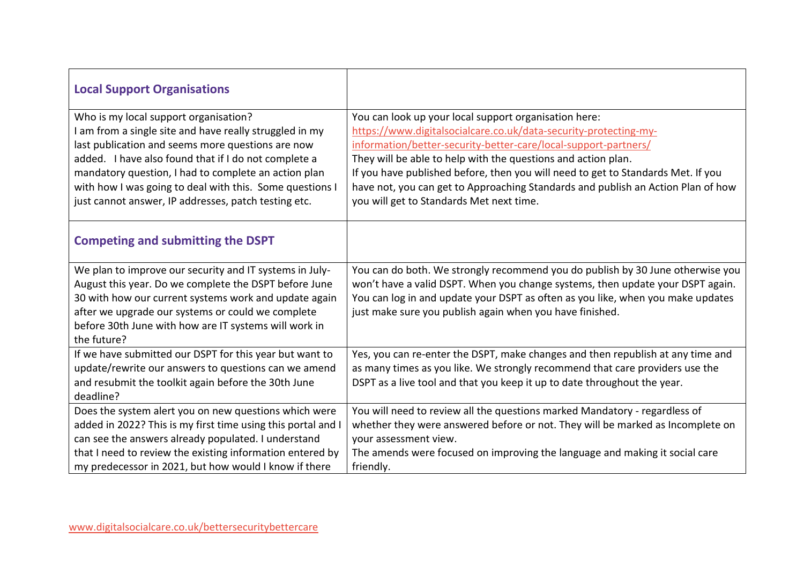| <b>Local Support Organisations</b>                                                                                                                                                                                                                                                                                                                                                        |                                                                                                                                                                                                                                                                                                                                                                                                                                                                                   |
|-------------------------------------------------------------------------------------------------------------------------------------------------------------------------------------------------------------------------------------------------------------------------------------------------------------------------------------------------------------------------------------------|-----------------------------------------------------------------------------------------------------------------------------------------------------------------------------------------------------------------------------------------------------------------------------------------------------------------------------------------------------------------------------------------------------------------------------------------------------------------------------------|
| Who is my local support organisation?<br>I am from a single site and have really struggled in my<br>last publication and seems more questions are now<br>added. I have also found that if I do not complete a<br>mandatory question, I had to complete an action plan<br>with how I was going to deal with this. Some questions I<br>just cannot answer, IP addresses, patch testing etc. | You can look up your local support organisation here:<br>https://www.digitalsocialcare.co.uk/data-security-protecting-my-<br>information/better-security-better-care/local-support-partners/<br>They will be able to help with the questions and action plan.<br>If you have published before, then you will need to get to Standards Met. If you<br>have not, you can get to Approaching Standards and publish an Action Plan of how<br>you will get to Standards Met next time. |
| <b>Competing and submitting the DSPT</b>                                                                                                                                                                                                                                                                                                                                                  |                                                                                                                                                                                                                                                                                                                                                                                                                                                                                   |
| We plan to improve our security and IT systems in July-<br>August this year. Do we complete the DSPT before June<br>30 with how our current systems work and update again<br>after we upgrade our systems or could we complete<br>before 30th June with how are IT systems will work in<br>the future?                                                                                    | You can do both. We strongly recommend you do publish by 30 June otherwise you<br>won't have a valid DSPT. When you change systems, then update your DSPT again.<br>You can log in and update your DSPT as often as you like, when you make updates<br>just make sure you publish again when you have finished.                                                                                                                                                                   |
| If we have submitted our DSPT for this year but want to<br>update/rewrite our answers to questions can we amend<br>and resubmit the toolkit again before the 30th June<br>deadline?                                                                                                                                                                                                       | Yes, you can re-enter the DSPT, make changes and then republish at any time and<br>as many times as you like. We strongly recommend that care providers use the<br>DSPT as a live tool and that you keep it up to date throughout the year.                                                                                                                                                                                                                                       |
| Does the system alert you on new questions which were<br>added in 2022? This is my first time using this portal and I<br>can see the answers already populated. I understand<br>that I need to review the existing information entered by<br>my predecessor in 2021, but how would I know if there                                                                                        | You will need to review all the questions marked Mandatory - regardless of<br>whether they were answered before or not. They will be marked as Incomplete on<br>your assessment view.<br>The amends were focused on improving the language and making it social care<br>friendly.                                                                                                                                                                                                 |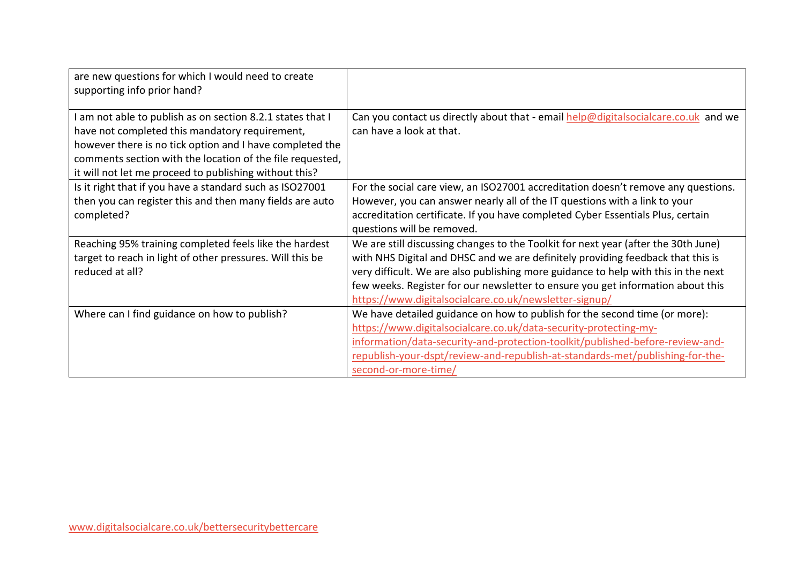| are new questions for which I would need to create        |                                                                                    |
|-----------------------------------------------------------|------------------------------------------------------------------------------------|
| supporting info prior hand?                               |                                                                                    |
|                                                           |                                                                                    |
| am not able to publish as on section 8.2.1 states that I  | Can you contact us directly about that - email help@digitalsocialcare.co.uk and we |
| have not completed this mandatory requirement,            | can have a look at that.                                                           |
| however there is no tick option and I have completed the  |                                                                                    |
| comments section with the location of the file requested, |                                                                                    |
| it will not let me proceed to publishing without this?    |                                                                                    |
| Is it right that if you have a standard such as ISO27001  | For the social care view, an ISO27001 accreditation doesn't remove any questions.  |
| then you can register this and then many fields are auto  | However, you can answer nearly all of the IT questions with a link to your         |
| completed?                                                | accreditation certificate. If you have completed Cyber Essentials Plus, certain    |
|                                                           | questions will be removed.                                                         |
| Reaching 95% training completed feels like the hardest    | We are still discussing changes to the Toolkit for next year (after the 30th June) |
| target to reach in light of other pressures. Will this be | with NHS Digital and DHSC and we are definitely providing feedback that this is    |
| reduced at all?                                           | very difficult. We are also publishing more guidance to help with this in the next |
|                                                           | few weeks. Register for our newsletter to ensure you get information about this    |
|                                                           | https://www.digitalsocialcare.co.uk/newsletter-signup/                             |
| Where can I find guidance on how to publish?              | We have detailed guidance on how to publish for the second time (or more):         |
|                                                           | https://www.digitalsocialcare.co.uk/data-security-protecting-my-                   |
|                                                           | information/data-security-and-protection-toolkit/published-before-review-and-      |
|                                                           | republish-your-dspt/review-and-republish-at-standards-met/publishing-for-the-      |
|                                                           | second-or-more-time/                                                               |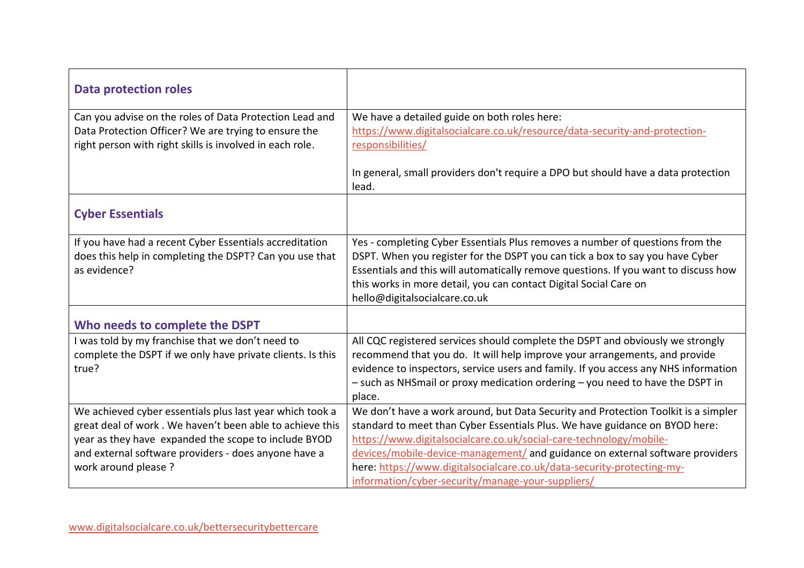| <b>Data protection roles</b>                               |                                                                                     |
|------------------------------------------------------------|-------------------------------------------------------------------------------------|
| Can you advise on the roles of Data Protection Lead and    | We have a detailed guide on both roles here:                                        |
| Data Protection Officer? We are trying to ensure the       | https://www.digitalsocialcare.co.uk/resource/data-security-and-protection-          |
| right person with right skills is involved in each role.   | responsibilities/                                                                   |
|                                                            | In general, small providers don't require a DPO but should have a data protection   |
|                                                            | lead.                                                                               |
| <b>Cyber Essentials</b>                                    |                                                                                     |
|                                                            |                                                                                     |
| If you have had a recent Cyber Essentials accreditation    | Yes - completing Cyber Essentials Plus removes a number of questions from the       |
| does this help in completing the DSPT? Can you use that    | DSPT. When you register for the DSPT you can tick a box to say you have Cyber       |
| as evidence?                                               | Essentials and this will automatically remove questions. If you want to discuss how |
|                                                            | this works in more detail, you can contact Digital Social Care on                   |
|                                                            | hello@digitalsocialcare.co.uk                                                       |
| Who needs to complete the DSPT                             |                                                                                     |
| I was told by my franchise that we don't need to           | All CQC registered services should complete the DSPT and obviously we strongly      |
| complete the DSPT if we only have private clients. Is this | recommend that you do. It will help improve your arrangements, and provide          |
| true?                                                      | evidence to inspectors, service users and family. If you access any NHS information |
|                                                            | - such as NHSmail or proxy medication ordering - you need to have the DSPT in       |
|                                                            | place.                                                                              |
| We achieved cyber essentials plus last year which took a   | We don't have a work around, but Data Security and Protection Toolkit is a simpler  |
| great deal of work. We haven't been able to achieve this   | standard to meet than Cyber Essentials Plus. We have guidance on BYOD here:         |
| year as they have expanded the scope to include BYOD       | https://www.digitalsocialcare.co.uk/social-care-technology/mobile-                  |
| and external software providers - does anyone have a       | devices/mobile-device-management/ and guidance on external software providers       |
| work around please ?                                       | here: https://www.digitalsocialcare.co.uk/data-security-protecting-my-              |
|                                                            | information/cyber-security/manage-your-suppliers/                                   |